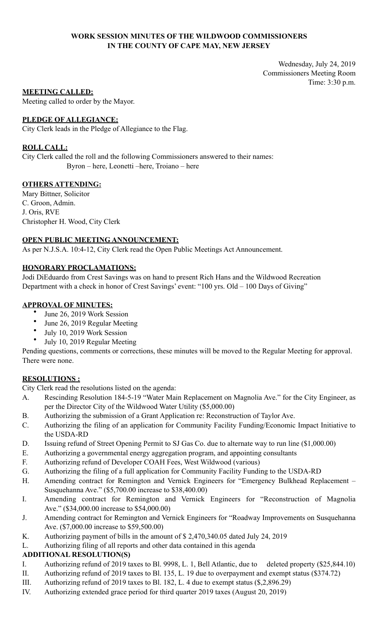# **WORK SESSION MINUTES OF THE WILDWOOD COMMISSIONERS IN THE COUNTY OF CAPE MAY, NEW JERSEY**

Wednesday, July 24, 2019 Commissioners Meeting Room Time: 3:30 p.m.

# **MEETING CALLED:**

Meeting called to order by the Mayor.

# **PLEDGE OF ALLEGIANCE:**

City Clerk leads in the Pledge of Allegiance to the Flag.

# **ROLL CALL:**

City Clerk called the roll and the following Commissioners answered to their names: Byron – here, Leonetti –here, Troiano – here

# **OTHERS ATTENDING:**

Mary Bittner, Solicitor C. Groon, Admin. J. Oris, RVE Christopher H. Wood, City Clerk

# **OPEN PUBLIC MEETING ANNOUNCEMENT:**

As per N.J.S.A. 10:4-12, City Clerk read the Open Public Meetings Act Announcement.

# **HONORARY PROCLAMATIONS:**

Jodi DiEduardo from Crest Savings was on hand to present Rich Hans and the Wildwood Recreation Department with a check in honor of Crest Savings' event: "100 yrs. Old – 100 Days of Giving"

# **APPROVAL OF MINUTES:**

- June 26, 2019 Work Session
- June 26, 2019 Regular Meeting
- July 10, 2019 Work Session
- July 10, 2019 Regular Meeting

Pending questions, comments or corrections, these minutes will be moved to the Regular Meeting for approval. There were none.

### **RESOLUTIONS :**

City Clerk read the resolutions listed on the agenda:

- A. Rescinding Resolution 184-5-19 "Water Main Replacement on Magnolia Ave." for the City Engineer, as per the Director City of the Wildwood Water Utility (\$5,000.00)
- B. Authorizing the submission of a Grant Application re: Reconstruction of Taylor Ave.
- C. Authorizing the filing of an application for Community Facility Funding/Economic Impact Initiative to the USDA-RD
- D. Issuing refund of Street Opening Permit to SJ Gas Co. due to alternate way to run line (\$1,000.00)
- E. Authorizing a governmental energy aggregation program, and appointing consultants
- F. Authorizing refund of Developer COAH Fees, West Wildwood (various)
- G. Authorizing the filing of a full application for Community Facility Funding to the USDA-RD
- H. Amending contract for Remington and Vernick Engineers for "Emergency Bulkhead Replacement Susquehanna Ave." (\$5,700.00 increase to \$38,400.00)
- I. Amending contract for Remington and Vernick Engineers for "Reconstruction of Magnolia Ave." (\$34,000.00 increase to \$54,000.00)
- J. Amending contract for Remington and Vernick Engineers for "Roadway Improvements on Susquehanna Ave. (\$7,000.00 increase to \$59,500.00)
- K. Authorizing payment of bills in the amount of \$ 2,470,340.05 dated July 24, 2019
- L. Authorizing filing of all reports and other data contained in this agenda

### **ADDITIONAL RESOLUTION(S)**

- I. Authorizing refund of 2019 taxes to Bl. 9998, L. 1, Bell Atlantic, due to deleted property (\$25,844.10)
- II. Authorizing refund of 2019 taxes to Bl. 135, L. 19 due to overpayment and exempt status (\$374.72)
- III. Authorizing refund of 2019 taxes to Bl. 182, L. 4 due to exempt status (\$,2,896.29)
- IV. Authorizing extended grace period for third quarter 2019 taxes (August 20, 2019)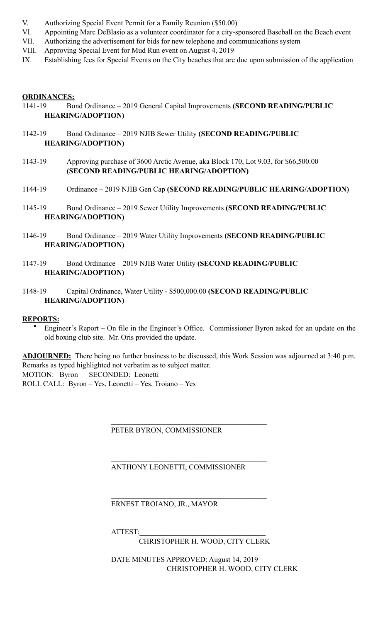- V. Authorizing Special Event Permit for a Family Reunion (\$50.00)
- VI. Appointing Marc DeBlasio as a volunteer coordinator for a city-sponsored Baseball on the Beach event
- VII. Authorizing the advertisement for bids for new telephone and communications system
- VIII. Approving Special Event for Mud Run event on August 4, 2019
- IX. Establishing fees for Special Events on the City beaches that are due upon submission of the application

# **ORDINANCES:**

- 1141-19 Bond Ordinance 2019 General Capital Improvements **(SECOND READING/PUBLIC HEARING/ADOPTION)**
- 1142-19 Bond Ordinance 2019 NJIB Sewer Utility **(SECOND READING/PUBLIC HEARING/ADOPTION)**
- 1143-19 Approving purchase of 3600 Arctic Avenue, aka Block 170, Lot 9.03, for \$66,500.00 **(SECOND READING/PUBLIC HEARING/ADOPTION)**
- 1144-19 Ordinance 2019 NJIB Gen Cap **(SECOND READING/PUBLIC HEARING/ADOPTION)**
- 1145-19 Bond Ordinance 2019 Sewer Utility Improvements **(SECOND READING/PUBLIC HEARING/ADOPTION)**
- 1146-19 Bond Ordinance 2019 Water Utility Improvements **(SECOND READING/PUBLIC HEARING/ADOPTION)**
- 1147-19 Bond Ordinance 2019 NJIB Water Utility **(SECOND READING/PUBLIC HEARING/ADOPTION)**
- 1148-19 Capital Ordinance, Water Utility \$500,000.00 **(SECOND READING/PUBLIC HEARING/ADOPTION)**

# **REPORTS:**

• Engineer's Report – On file in the Engineer's Office. Commissioner Byron asked for an update on the old boxing club site. Mr. Oris provided the update.

**ADJOURNED:** There being no further business to be discussed, this Work Session was adjourned at 3:40 p.m. Remarks as typed highlighted not verbatim as to subject matter. MOTION: Byron SECONDED: Leonetti

ROLL CALL: Byron – Yes, Leonetti – Yes, Troiano – Yes

# PETER BYRON, COMMISSIONER

 $\mathcal{L}_\mathcal{L} = \mathcal{L}_\mathcal{L} = \mathcal{L}_\mathcal{L} = \mathcal{L}_\mathcal{L} = \mathcal{L}_\mathcal{L} = \mathcal{L}_\mathcal{L} = \mathcal{L}_\mathcal{L} = \mathcal{L}_\mathcal{L} = \mathcal{L}_\mathcal{L} = \mathcal{L}_\mathcal{L} = \mathcal{L}_\mathcal{L} = \mathcal{L}_\mathcal{L} = \mathcal{L}_\mathcal{L} = \mathcal{L}_\mathcal{L} = \mathcal{L}_\mathcal{L} = \mathcal{L}_\mathcal{L} = \mathcal{L}_\mathcal{L}$ 

 $\mathcal{L}_\mathcal{L} = \mathcal{L}_\mathcal{L} = \mathcal{L}_\mathcal{L} = \mathcal{L}_\mathcal{L} = \mathcal{L}_\mathcal{L} = \mathcal{L}_\mathcal{L} = \mathcal{L}_\mathcal{L} = \mathcal{L}_\mathcal{L} = \mathcal{L}_\mathcal{L} = \mathcal{L}_\mathcal{L} = \mathcal{L}_\mathcal{L} = \mathcal{L}_\mathcal{L} = \mathcal{L}_\mathcal{L} = \mathcal{L}_\mathcal{L} = \mathcal{L}_\mathcal{L} = \mathcal{L}_\mathcal{L} = \mathcal{L}_\mathcal{L}$ 

 $\mathcal{L}_\mathcal{L} = \mathcal{L}_\mathcal{L} = \mathcal{L}_\mathcal{L} = \mathcal{L}_\mathcal{L} = \mathcal{L}_\mathcal{L} = \mathcal{L}_\mathcal{L} = \mathcal{L}_\mathcal{L} = \mathcal{L}_\mathcal{L} = \mathcal{L}_\mathcal{L} = \mathcal{L}_\mathcal{L} = \mathcal{L}_\mathcal{L} = \mathcal{L}_\mathcal{L} = \mathcal{L}_\mathcal{L} = \mathcal{L}_\mathcal{L} = \mathcal{L}_\mathcal{L} = \mathcal{L}_\mathcal{L} = \mathcal{L}_\mathcal{L}$ 

ANTHONY LEONETTI, COMMISSIONER

ERNEST TROIANO, JR., MAYOR

ATTEST:

CHRISTOPHER H. WOOD, CITY CLERK

 DATE MINUTES APPROVED: August 14, 2019 CHRISTOPHER H. WOOD, CITY CLERK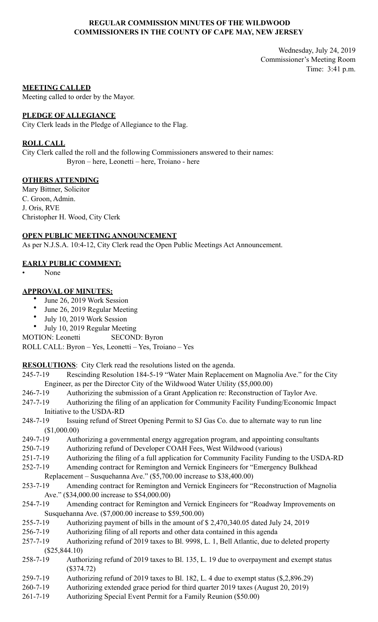# **REGULAR COMMISSION MINUTES OF THE WILDWOOD COMMISSIONERS IN THE COUNTY OF CAPE MAY, NEW JERSEY**

Wednesday, July 24, 2019 Commissioner's Meeting Room Time: 3:41 p.m.

### **MEETING CALLED**

Meeting called to order by the Mayor.

### **PLEDGE OF ALLEGIANCE**

City Clerk leads in the Pledge of Allegiance to the Flag.

### **ROLL CALL**

City Clerk called the roll and the following Commissioners answered to their names: Byron – here, Leonetti – here, Troiano - here

# **OTHERS ATTENDING**

Mary Bittner, Solicitor C. Groon, Admin. J. Oris, RVE Christopher H. Wood, City Clerk

### **OPEN PUBLIC MEETING ANNOUNCEMENT**

As per N.J.S.A. 10:4-12, City Clerk read the Open Public Meetings Act Announcement.

# **EARLY PUBLIC COMMENT:**

• None

### **APPROVAL OF MINUTES:**

- June 26, 2019 Work Session
- June 26, 2019 Regular Meeting
- July 10, 2019 Work Session
- July 10, 2019 Regular Meeting
- MOTION: Leonetti SECOND: Byron

ROLL CALL: Byron – Yes, Leonetti – Yes, Troiano – Yes

**RESOLUTIONS**: City Clerk read the resolutions listed on the agenda.

- 245-7-19 Rescinding Resolution 184-5-19 "Water Main Replacement on Magnolia Ave." for the City Engineer, as per the Director City of the Wildwood Water Utility (\$5,000.00)
- 246-7-19 Authorizing the submission of a Grant Application re: Reconstruction of Taylor Ave.
- 247-7-19 Authorizing the filing of an application for Community Facility Funding/Economic Impact Initiative to the USDA-RD
- 248-7-19 Issuing refund of Street Opening Permit to SJ Gas Co. due to alternate way to run line (\$1,000.00)
- 249-7-19 Authorizing a governmental energy aggregation program, and appointing consultants
- 250-7-19 Authorizing refund of Developer COAH Fees, West Wildwood (various)
- 251-7-19 Authorizing the filing of a full application for Community Facility Funding to the USDA-RD
- 252-7-19 Amending contract for Remington and Vernick Engineers for "Emergency Bulkhead Replacement – Susquehanna Ave." (\$5,700.00 increase to \$38,400.00)
- 253-7-19 Amending contract for Remington and Vernick Engineers for "Reconstruction of Magnolia Ave." (\$34,000.00 increase to \$54,000.00)
- 254-7-19 Amending contract for Remington and Vernick Engineers for "Roadway Improvements on Susquehanna Ave. (\$7,000.00 increase to \$59,500.00)
- 255-7-19 Authorizing payment of bills in the amount of \$ 2,470,340.05 dated July 24, 2019
- 256-7-19 Authorizing filing of all reports and other data contained in this agenda
- 257-7-19 Authorizing refund of 2019 taxes to Bl. 9998, L. 1, Bell Atlantic, due to deleted property (\$25,844.10)
- 258-7-19 Authorizing refund of 2019 taxes to Bl. 135, L. 19 due to overpayment and exempt status (\$374.72)
- 259-7-19 Authorizing refund of 2019 taxes to Bl. 182, L. 4 due to exempt status (\$,2,896.29)
- 260-7-19 Authorizing extended grace period for third quarter 2019 taxes (August 20, 2019)
- 261-7-19 Authorizing Special Event Permit for a Family Reunion (\$50.00)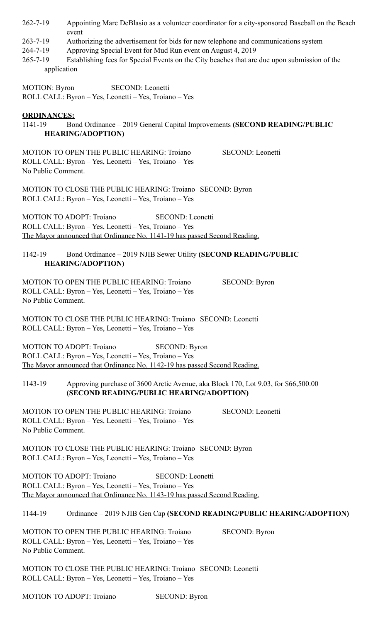- 262-7-19 Appointing Marc DeBlasio as a volunteer coordinator for a city-sponsored Baseball on the Beach event
- 263-7-19 Authorizing the advertisement for bids for new telephone and communications system
- 264-7-19 Approving Special Event for Mud Run event on August 4, 2019
- 265-7-19 Establishing fees for Special Events on the City beaches that are due upon submission of the application

MOTION: Byron SECOND: Leonetti ROLL CALL: Byron – Yes, Leonetti – Yes, Troiano – Yes

### **ORDINANCES:**

1141-19 Bond Ordinance – 2019 General Capital Improvements **(SECOND READING/PUBLIC HEARING/ADOPTION)** 

MOTION TO OPEN THE PUBLIC HEARING: Troiano SECOND: Leonetti ROLL CALL: Byron – Yes, Leonetti – Yes, Troiano – Yes No Public Comment.

MOTION TO CLOSE THE PUBLIC HEARING: Troiano SECOND: Byron ROLL CALL: Byron – Yes, Leonetti – Yes, Troiano – Yes

MOTION TO ADOPT: Troiano SECOND: Leonetti ROLL CALL: Byron – Yes, Leonetti – Yes, Troiano – Yes The Mayor announced that Ordinance No. 1141-19 has passed Second Reading.

# 1142-19 Bond Ordinance – 2019 NJIB Sewer Utility **(SECOND READING/PUBLIC HEARING/ADOPTION)**

MOTION TO OPEN THE PUBLIC HEARING: Troiano SECOND: Byron ROLL CALL: Byron – Yes, Leonetti – Yes, Troiano – Yes No Public Comment.

MOTION TO CLOSE THE PUBLIC HEARING: Troiano SECOND: Leonetti ROLL CALL: Byron – Yes, Leonetti – Yes, Troiano – Yes

MOTION TO ADOPT: Troiano SECOND: Byron ROLL CALL: Byron – Yes, Leonetti – Yes, Troiano – Yes The Mayor announced that Ordinance No. 1142-19 has passed Second Reading.

1143-19 Approving purchase of 3600 Arctic Avenue, aka Block 170, Lot 9.03, for \$66,500.00 **(SECOND READING/PUBLIC HEARING/ADOPTION)** 

MOTION TO OPEN THE PUBLIC HEARING: Troiano SECOND: Leonetti ROLL CALL: Byron – Yes, Leonetti – Yes, Troiano – Yes No Public Comment.

MOTION TO CLOSE THE PUBLIC HEARING: Troiano SECOND: Byron ROLL CALL: Byron – Yes, Leonetti – Yes, Troiano – Yes

MOTION TO ADOPT: Troiano SECOND: Leonetti ROLL CALL: Byron – Yes, Leonetti – Yes, Troiano – Yes The Mayor announced that Ordinance No. 1143-19 has passed Second Reading.

# 1144-19 Ordinance – 2019 NJIB Gen Cap **(SECOND READING/PUBLIC HEARING/ADOPTION)**

MOTION TO OPEN THE PUBLIC HEARING: Troiano SECOND: Byron ROLL CALL: Byron – Yes, Leonetti – Yes, Troiano – Yes No Public Comment.

MOTION TO CLOSE THE PUBLIC HEARING: Troiano SECOND: Leonetti ROLL CALL: Byron – Yes, Leonetti – Yes, Troiano – Yes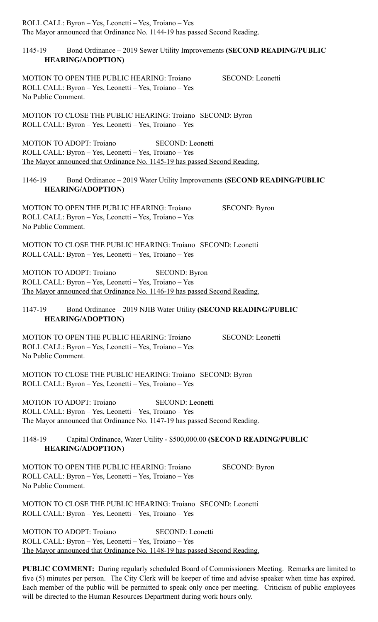| ROLL CALL: Byron - Yes, Leonetti - Yes, Troiano - Yes<br>The Mayor announced that Ordinance No. 1144-19 has passed Second Reading.                                                               |
|--------------------------------------------------------------------------------------------------------------------------------------------------------------------------------------------------|
| Bond Ordinance – 2019 Sewer Utility Improvements (SECOND READING/PUBLIC<br>1145-19<br><b>HEARING/ADOPTION)</b>                                                                                   |
| MOTION TO OPEN THE PUBLIC HEARING: Troiano<br>SECOND: Leonetti<br>ROLL CALL: Byron - Yes, Leonetti - Yes, Troiano - Yes<br>No Public Comment.                                                    |
| MOTION TO CLOSE THE PUBLIC HEARING: Troiano SECOND: Byron<br>ROLL CALL: Byron - Yes, Leonetti - Yes, Troiano - Yes                                                                               |
| <b>MOTION TO ADOPT: Trojano</b><br>SECOND: Leonetti<br>ROLL CALL: Byron - Yes, Leonetti - Yes, Troiano - Yes<br>The Mayor announced that Ordinance No. 1145-19 has passed Second Reading.        |
| Bond Ordinance - 2019 Water Utility Improvements (SECOND READING/PUBLIC<br>1146-19<br><b>HEARING/ADOPTION)</b>                                                                                   |
| MOTION TO OPEN THE PUBLIC HEARING: Troiano<br><b>SECOND: Byron</b><br>ROLL CALL: Byron - Yes, Leonetti - Yes, Troiano - Yes<br>No Public Comment.                                                |
| <b>MOTION TO CLOSE THE PUBLIC HEARING: Troiano SECOND: Leonetti</b><br>ROLL CALL: Byron - Yes, Leonetti - Yes, Troiano - Yes                                                                     |
| <b>MOTION TO ADOPT: Troiano</b><br><b>SECOND: Byron</b><br>ROLL CALL: Byron - Yes, Leonetti - Yes, Troiano - Yes<br>The Mayor announced that Ordinance No. 1146-19 has passed Second Reading.    |
| Bond Ordinance - 2019 NJIB Water Utility (SECOND READING/PUBLIC<br>1147-19<br><b>HEARING/ADOPTION)</b>                                                                                           |
| <b>MOTION TO OPEN THE PUBLIC HEARING: Troiano</b><br><b>SECOND:</b> Leonetti<br>ROLL CALL: Byron - Yes, Leonetti - Yes, Troiano - Yes<br>No Public Comment.                                      |
| MOTION TO CLOSE THE PUBLIC HEARING: Troiano SECOND: Byron<br>ROLL CALL: Byron - Yes, Leonetti - Yes, Troiano - Yes                                                                               |
| <b>MOTION TO ADOPT: Troiano</b><br>SECOND: Leonetti<br>ROLL CALL: Byron - Yes, Leonetti - Yes, Troiano - Yes<br>The Mayor announced that Ordinance No. 1147-19 has passed Second Reading.        |
| 1148-19<br>Capital Ordinance, Water Utility - \$500,000.00 (SECOND READING/PUBLIC<br><b>HEARING/ADOPTION)</b>                                                                                    |
| <b>MOTION TO OPEN THE PUBLIC HEARING: Troiano</b><br><b>SECOND: Byron</b><br>ROLL CALL: Byron - Yes, Leonetti - Yes, Troiano - Yes<br>No Public Comment.                                         |
| <b>MOTION TO CLOSE THE PUBLIC HEARING: Troiano SECOND: Leonetti</b><br>ROLL CALL: Byron - Yes, Leonetti - Yes, Troiano - Yes                                                                     |
| <b>MOTION TO ADOPT: Troiano</b><br><b>SECOND:</b> Leonetti<br>ROLL CALL: Byron - Yes, Leonetti - Yes, Troiano - Yes<br>The Mayor announced that Ordinance No. 1148-19 has passed Second Reading. |

PUBLIC COMMENT: During regularly scheduled Board of Commissioners Meeting. Remarks are limited to five (5) minutes per person. The City Clerk will be keeper of time and advise speaker when time has expired. Each member of the public will be permitted to speak only once per meeting. Criticism of public employees will be directed to the Human Resources Department during work hours only.